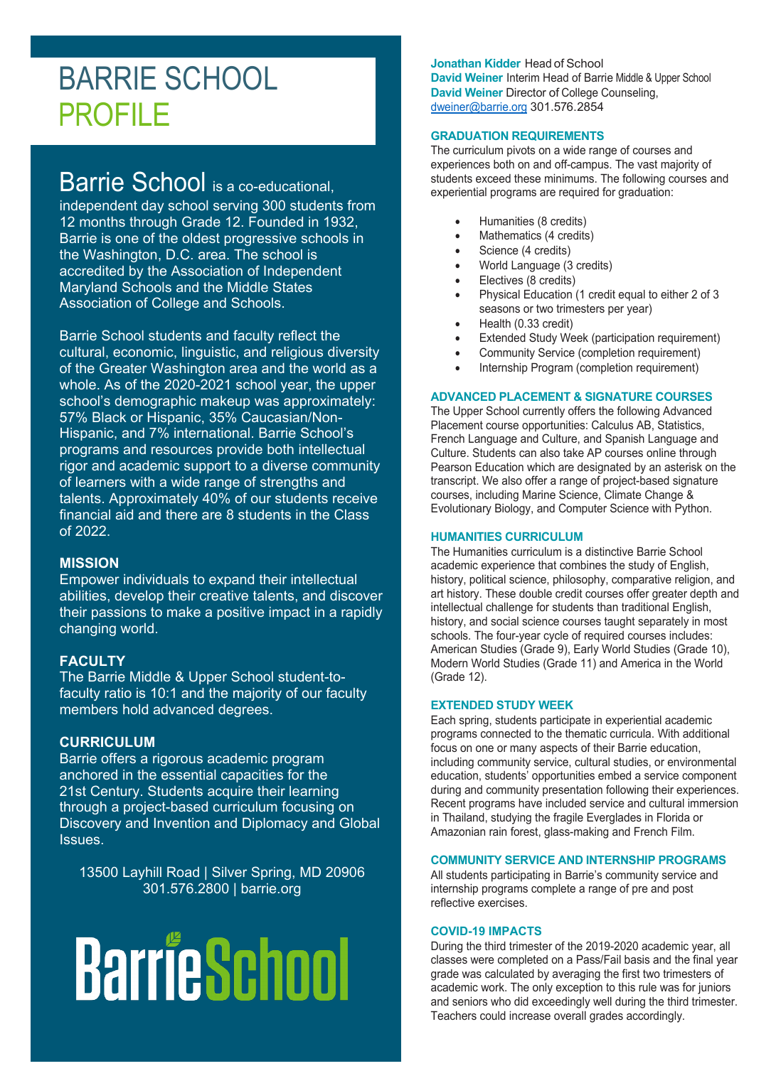# BARRIE SCHOOL PROFILE

# Barrie School is a co-educational,

independent day school serving 300 students from 12 months through Grade 12. Founded in 1932, Barrie is one of the oldest progressive schools in the Washington, D.C. area. The school is accredited by the Association of Independent Maryland Schools and the Middle States Association of College and Schools.

Barrie School students and faculty reflect the cultural, economic, linguistic, and religious diversity of the Greater Washington area and the world as a whole. As of the 2020-2021 school year, the upper school's demographic makeup was approximately: 57% Black or Hispanic, 35% Caucasian/Non-Hispanic, and 7% international. Barrie School's programs and resources provide both intellectual rigor and academic support to a diverse community of learners with a wide range of strengths and talents. Approximately 40% of our students receive financial aid and there are 8 students in the Class of 2022.

## **MISSION**

Empower individuals to expand their intellectual abilities, develop their creative talents, and discover their passions to make a positive impact in a rapidly changing world.

## **FACULTY**

The Barrie Middle & Upper School student-tofaculty ratio is 10:1 and the majority of our faculty members hold advanced degrees.

## **CURRICULUM**

Barrie offers a rigorous academic program anchored in the essential capacities for the 21st Century. Students acquire their learning through a project-based curriculum focusing on Discovery and Invention and Diplomacy and Global Issues.

13500 Layhill Road | Silver Spring, MD 20906 301.576.2800 | barrie.org

# **BarrieSchool**

**Jonathan Kidder** Head of School **David Weiner** Interim Head of Barrie Middle & Upper School **David Weiner** Director of College Counseling, [dweiner@barrie.org](mailto:dweiner@barrie.org) 301.576.2854

#### **GRADUATION REQUIREMENTS**

The curriculum pivots on a wide range of courses and experiences both on and off-campus. The vast majority of students exceed these minimums. The following courses and experiential programs are required for graduation:

- Humanities (8 credits)
- Mathematics (4 credits)
- Science (4 credits)
- World Language (3 credits)
- Electives (8 credits)
- Physical Education (1 credit equal to either 2 of 3 seasons or two trimesters per year)
- Health (0.33 credit)
- Extended Study Week (participation requirement)
- Community Service (completion requirement)
- Internship Program (completion requirement)

#### **ADVANCED PLACEMENT & SIGNATURE COURSES**

The Upper School currently offers the following Advanced Placement course opportunities: Calculus AB, Statistics, French Language and Culture, and Spanish Language and Culture. Students can also take AP courses online through Pearson Education which are designated by an asterisk on the transcript. We also offer a range of project-based signature courses, including Marine Science, Climate Change & Evolutionary Biology, and Computer Science with Python.

#### **HUMANITIES CURRICULUM**

The Humanities curriculum is a distinctive Barrie School academic experience that combines the study of English, history, political science, philosophy, comparative religion, and art history. These double credit courses offer greater depth and intellectual challenge for students than traditional English, history, and social science courses taught separately in most schools. The four-year cycle of required courses includes: American Studies (Grade 9), Early World Studies (Grade 10), Modern World Studies (Grade 11) and America in the World (Grade 12).

#### **EXTENDED STUDY WEEK**

Each spring, students participate in experiential academic programs connected to the thematic curricula. With additional focus on one or many aspects of their Barrie education, including community service, cultural studies, or environmental education, students' opportunities embed a service component during and community presentation following their experiences. Recent programs have included service and cultural immersion in Thailand, studying the fragile Everglades in Florida or Amazonian rain forest, glass-making and French Film.

#### **COMMUNITY SERVICE AND INTERNSHIP PROGRAMS**

All students participating in Barrie's community service and internship programs complete a range of pre and post reflective exercises.

#### **COVID-19 IMPACTS**

During the third trimester of the 2019-2020 academic year, all classes were completed on a Pass/Fail basis and the final year grade was calculated by averaging the first two trimesters of academic work. The only exception to this rule was for juniors and seniors who did exceedingly well during the third trimester. Teachers could increase overall grades accordingly.